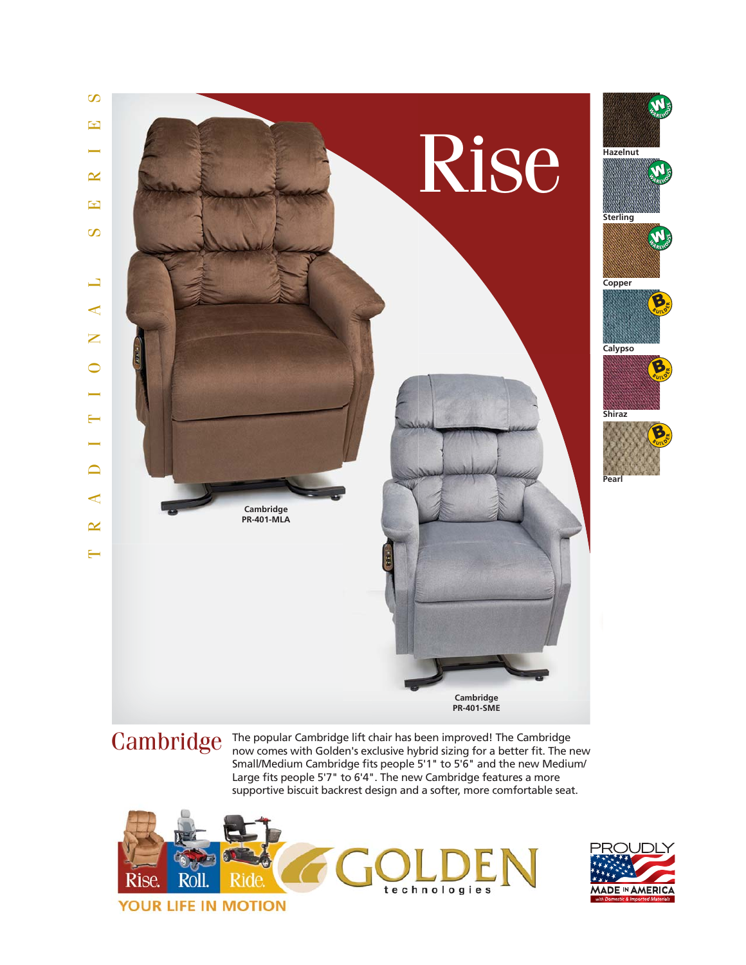

 $Cambridge$  The popular Cambridge lift chair has been improved! The Cambridge now comes with Golden's exclusive hybrid sizing for a better fit. The r now comes with Golden's exclusive hybrid sizing for a better fit. The new Small/Medium Cambridge fits people 5'1" to 5'6" and the new Medium/ Large fits people 5'7" to 6'4". The new Cambridge features a more supportive biscuit backrest design and a softer, more comfortable seat.